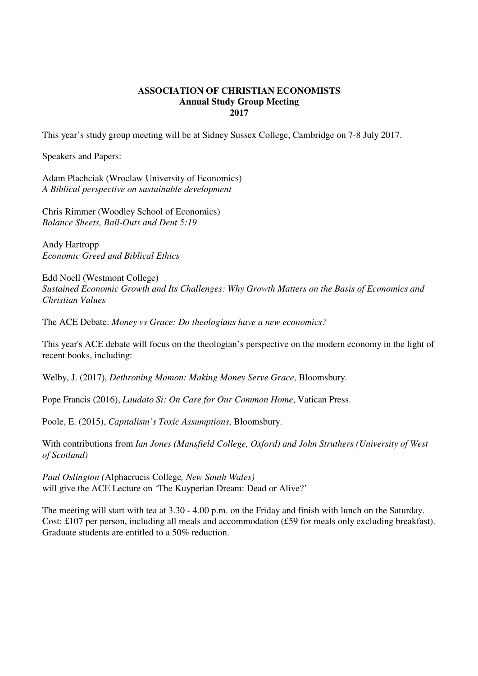## **ASSOCIATION OF CHRISTIAN ECONOMISTS Annual Study Group Meeting 2017**

This year's study group meeting will be at Sidney Sussex College, Cambridge on 7-8 July 2017.

Speakers and Papers:

Adam Plachciak (Wroclaw University of Economics) *A Biblical perspective on sustainable development* 

Chris Rimmer (Woodley School of Economics) *Balance Sheets, Bail-Outs and Deut 5:19* 

Andy Hartropp *Economic Greed and Biblical Ethics* 

Edd Noell (Westmont College) *Sustained Economic Growth and Its Challenges: Why Growth Matters on the Basis of Economics and Christian Values* 

The ACE Debate: *Money vs Grace: Do theologians have a new economics?* 

This year's ACE debate will focus on the theologian's perspective on the modern economy in the light of recent books, including:

Welby, J. (2017), *Dethroning Mamon: Making Money Serve Grace*, Bloomsbury.

Pope Francis (2016), *Laudato Si: On Care for Our Common Home*, Vatican Press.

Poole, E. (2015), *Capitalism's Toxic Assumptions*, Bloomsbury.

With contributions from *Ian Jones (Mansfield College, Oxford) and John Struthers (University of West of Scotland)* 

*Paul Oslington (*Alphacrucis College*, New South Wales)*  will give the ACE Lecture on *'*The Kuyperian Dream: Dead or Alive?'

The meeting will start with tea at 3.30 - 4.00 p.m. on the Friday and finish with lunch on the Saturday. Cost: £107 per person, including all meals and accommodation (£59 for meals only excluding breakfast). Graduate students are entitled to a 50% reduction.